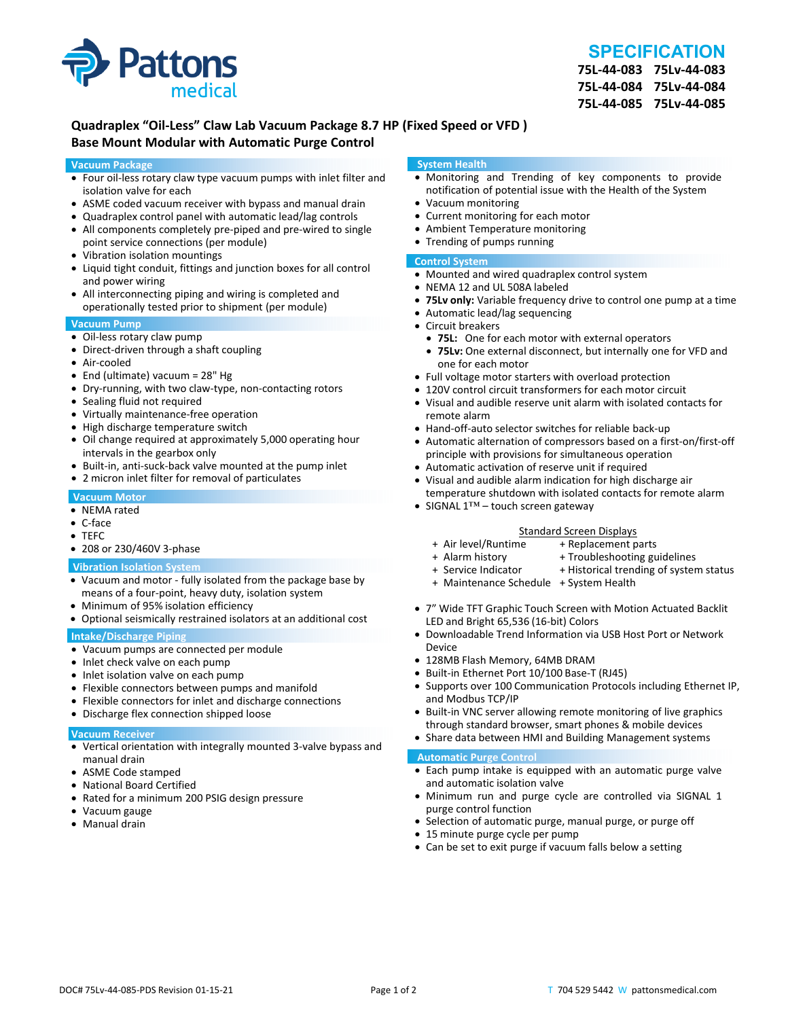

# **SPECIFICATION**

**75L‐44‐083 75Lv‐44‐083 75L‐44‐084 75Lv‐44‐084 75L‐44‐085 75Lv‐44‐085**

# **Quadraplex "Oil‐Less" Claw Lab Vacuum Package 8.7 HP (Fixed Speed or VFD ) Base Mount Modular with Automatic Purge Control**

#### **Vacuum Package**

- Four oil‐less rotary claw type vacuum pumps with inlet filter and isolation valve for each
- ASME coded vacuum receiver with bypass and manual drain
- Quadraplex control panel with automatic lead/lag controls
- All components completely pre-piped and pre-wired to single point service connections (per module)
- Vibration isolation mountings
- Liquid tight conduit, fittings and junction boxes for all control and power wiring
- All interconnecting piping and wiring is completed and operationally tested prior to shipment (per module)

#### **Vacuum Pump**

- Oil-less rotary claw pump
- Direct-driven through a shaft coupling
- Air‐cooled
- End (ultimate) vacuum = 28" Hg
- Dry-running, with two claw-type, non-contacting rotors
- Sealing fluid not required
- Virtually maintenance-free operation
- High discharge temperature switch
- Oil change required at approximately 5,000 operating hour intervals in the gearbox only
- Built-in, anti-suck-back valve mounted at the pump inlet
- 2 micron inlet filter for removal of particulates

#### **Vacuum Motor**

- NEMA rated
- C‐face
- TEFC
- 208 or 230/460V 3‐phase

#### **Vibration Isolation System**

- Vacuum and motor ‐ fully isolated from the package base by means of a four‐point, heavy duty, isolation system
- Minimum of 95% isolation efficiency
- Optional seismically restrained isolators at an additional cost

### **Intake/Discharge Piping**

- Vacuum pumps are connected per module
- Inlet check valve on each pump
- Inlet isolation valve on each pump
- Flexible connectors between pumps and manifold
- Flexible connectors for inlet and discharge connections
- Discharge flex connection shipped loose

#### **Vacuum Receiver**

- Vertical orientation with integrally mounted 3‐valve bypass and manual drain
- ASME Code stamped
- National Board Certified
- Rated for a minimum 200 PSIG design pressure
- Vacuum gauge
- Manual drain

#### **System Health**

- Monitoring and Trending of key components to provide notification of potential issue with the Health of the System
- Vacuum monitoring
- Current monitoring for each motor
- Ambient Temperature monitoring
- Trending of pumps running

## **Control System**

- Mounted and wired quadraplex control system
- NEMA 12 and UL 508A labeled
- **75Lv only:** Variable frequency drive to control one pump at a time
- Automatic lead/lag sequencing
- Circuit breakers
- **75L:** One for each motor with external operators
- **75Lv:** One external disconnect, but internally one for VFD and one for each motor
- Full voltage motor starters with overload protection
- 120V control circuit transformers for each motor circuit
- Visual and audible reserve unit alarm with isolated contacts for remote alarm
- Hand-off-auto selector switches for reliable back-up
- Automatic alternation of compressors based on a first-on/first-off principle with provisions for simultaneous operation
- Automatic activation of reserve unit if required
- Visual and audible alarm indication for high discharge air temperature shutdown with isolated contacts for remote alarm
- SIGNAL 1™ touch screen gateway

# Standard Screen Displays<br>Air level/Runtime + Replacement p +

- + Air level/Runtime + Replacement parts
- 
- + Troubleshooting guidelines
- + Service Indicator + Historical trending of system status
- + Maintenance Schedule + System Health
- 7" Wide TFT Graphic Touch Screen with Motion Actuated Backlit LED and Bright 65,536 (16‐bit) Colors
- Downloadable Trend Information via USB Host Port or Network Device
- 128MB Flash Memory, 64MB DRAM
- Built-in Ethernet Port 10/100 Base-T (RJ45)
- Supports over 100 Communication Protocols including Ethernet IP, and Modbus TCP/IP
- Built-in VNC server allowing remote monitoring of live graphics through standard browser, smart phones & mobile devices
- Share data between HMI and Building Management systems

#### **Automatic Purge Control**

- Each pump intake is equipped with an automatic purge valve and automatic isolation valve
- Minimum run and purge cycle are controlled via SIGNAL 1 purge control function
- Selection of automatic purge, manual purge, or purge off
- 15 minute purge cycle per pump
- Can be set to exit purge if vacuum falls below a setting